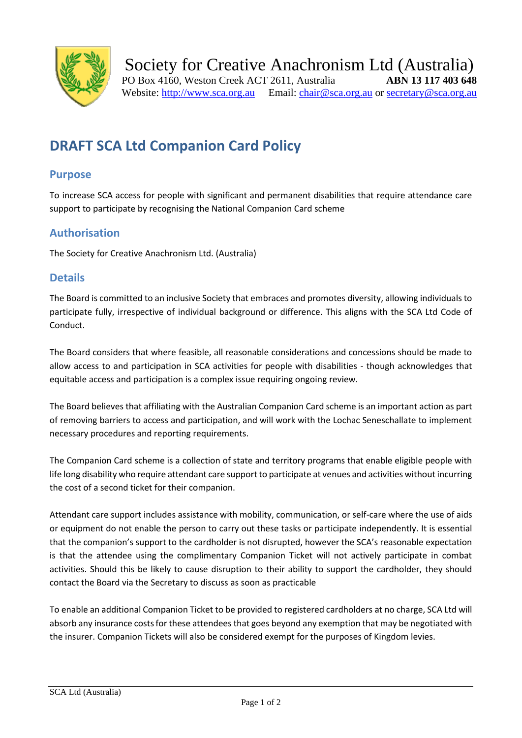

# **DRAFT SCA Ltd Companion Card Policy**

#### **Purpose**

To increase SCA access for people with significant and permanent disabilities that require attendance care support to participate by recognising the National Companion Card scheme

# **Authorisation**

The Society for Creative Anachronism Ltd. (Australia)

#### **Details**

The Board is committed to an inclusive Society that embraces and promotes diversity, allowing individuals to participate fully, irrespective of individual background or difference. This aligns with the SCA Ltd Code of Conduct.

The Board considers that where feasible, all reasonable considerations and concessions should be made to allow access to and participation in SCA activities for people with disabilities - though acknowledges that equitable access and participation is a complex issue requiring ongoing review.

The Board believes that affiliating with the Australian Companion Card scheme is an important action as part of removing barriers to access and participation, and will work with the Lochac Seneschallate to implement necessary procedures and reporting requirements.

The Companion Card scheme is a collection of state and territory programs that enable eligible people with life long disability who require attendant care support to participate at venues and activities without incurring the cost of a second ticket for their companion.

Attendant care support includes assistance with mobility, communication, or self-care where the use of aids or equipment do not enable the person to carry out these tasks or participate independently. It is essential that the companion's support to the cardholder is not disrupted, however the SCA's reasonable expectation is that the attendee using the complimentary Companion Ticket will not actively participate in combat activities. Should this be likely to cause disruption to their ability to support the cardholder, they should contact the Board via the Secretary to discuss as soon as practicable

To enable an additional Companion Ticket to be provided to registered cardholders at no charge, SCA Ltd will absorb any insurance costs for these attendees that goes beyond any exemption that may be negotiated with the insurer. Companion Tickets will also be considered exempt for the purposes of Kingdom levies.